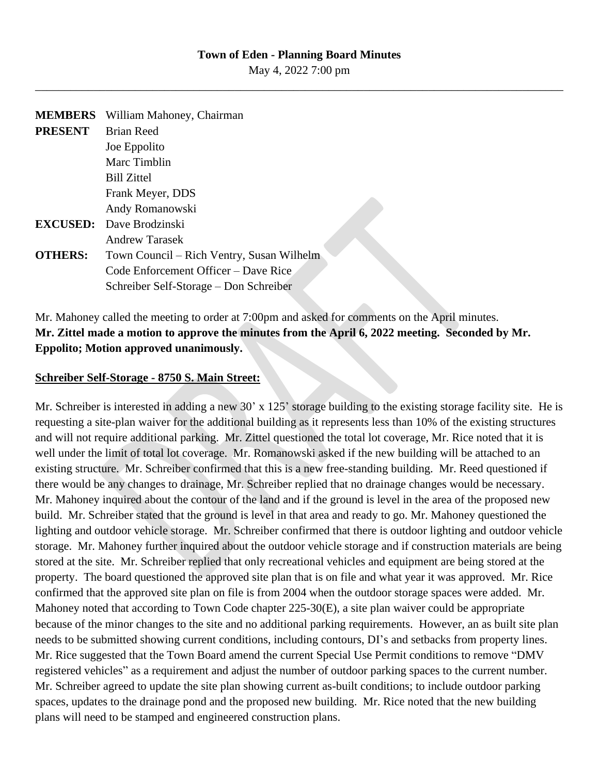## **Town of Eden - Planning Board Minutes**

May 4, 2022 7:00 pm \_\_\_\_\_\_\_\_\_\_\_\_\_\_\_\_\_\_\_\_\_\_\_\_\_\_\_\_\_\_\_\_\_\_\_\_\_\_\_\_\_\_\_\_\_\_\_\_\_\_\_\_\_\_\_\_\_\_\_\_\_\_\_\_\_\_\_\_\_\_\_\_\_\_\_\_\_\_\_\_\_\_\_\_\_\_\_\_\_\_

| <b>MEMBERS</b> | William Mahoney, Chairman                 |
|----------------|-------------------------------------------|
| <b>PRESENT</b> | <b>Brian Reed</b>                         |
|                | Joe Eppolito                              |
|                | Marc Timblin                              |
|                | <b>Bill Zittel</b>                        |
|                | Frank Meyer, DDS                          |
|                | Andy Romanowski                           |
|                | <b>EXCUSED:</b> Dave Brodzinski           |
|                | Andrew Tarasek                            |
| <b>OTHERS:</b> | Town Council – Rich Ventry, Susan Wilhelm |
|                | Code Enforcement Officer – Dave Rice      |
|                | Schreiber Self-Storage – Don Schreiber    |

## Mr. Mahoney called the meeting to order at 7:00pm and asked for comments on the April minutes. **Mr. Zittel made a motion to approve the minutes from the April 6, 2022 meeting. Seconded by Mr. Eppolito; Motion approved unanimously.**

## **Schreiber Self-Storage - 8750 S. Main Street:**

Mr. Schreiber is interested in adding a new 30' x 125' storage building to the existing storage facility site. He is requesting a site-plan waiver for the additional building as it represents less than 10% of the existing structures and will not require additional parking. Mr. Zittel questioned the total lot coverage, Mr. Rice noted that it is well under the limit of total lot coverage. Mr. Romanowski asked if the new building will be attached to an existing structure. Mr. Schreiber confirmed that this is a new free-standing building. Mr. Reed questioned if there would be any changes to drainage, Mr. Schreiber replied that no drainage changes would be necessary. Mr. Mahoney inquired about the contour of the land and if the ground is level in the area of the proposed new build. Mr. Schreiber stated that the ground is level in that area and ready to go. Mr. Mahoney questioned the lighting and outdoor vehicle storage. Mr. Schreiber confirmed that there is outdoor lighting and outdoor vehicle storage. Mr. Mahoney further inquired about the outdoor vehicle storage and if construction materials are being stored at the site. Mr. Schreiber replied that only recreational vehicles and equipment are being stored at the property. The board questioned the approved site plan that is on file and what year it was approved. Mr. Rice confirmed that the approved site plan on file is from 2004 when the outdoor storage spaces were added. Mr. Mahoney noted that according to Town Code chapter 225-30(E), a site plan waiver could be appropriate because of the minor changes to the site and no additional parking requirements. However, an as built site plan needs to be submitted showing current conditions, including contours, DI's and setbacks from property lines. Mr. Rice suggested that the Town Board amend the current Special Use Permit conditions to remove "DMV registered vehicles" as a requirement and adjust the number of outdoor parking spaces to the current number. Mr. Schreiber agreed to update the site plan showing current as-built conditions; to include outdoor parking spaces, updates to the drainage pond and the proposed new building. Mr. Rice noted that the new building plans will need to be stamped and engineered construction plans.